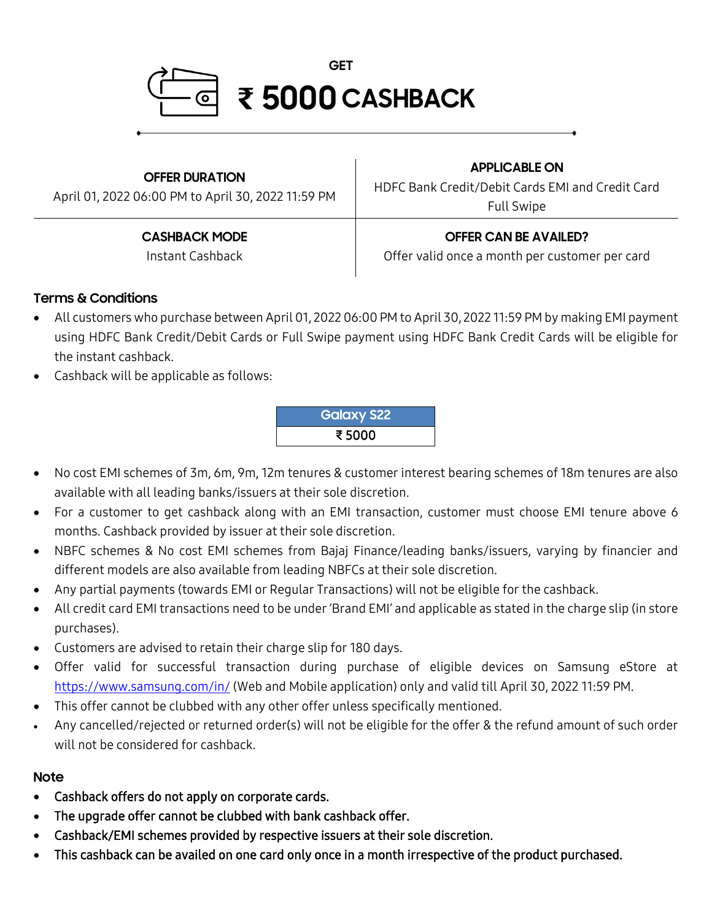

**OFFER DURATION** April 01, 2022 06:00 PM to April 30, 2022 11:59 PM **APPLICABLE ON** HDFC Bank Credit/Debit Cards EMI and Credit Card Full Swipe **CASHBACK MODE** Instant Cashback **OFFER CAN BE AVAILED?** Offer valid once a month per customer per card

## **Terms & Conditions**

- All customers who purchase between April 01, 2022 06:00 PM to April 30, 2022 11:59 PM by making EMI payment using HDFC Bank Credit/Debit Cards or Full Swipe payment using HDFC Bank Credit Cards will be eligible for the instant cashback.
- Cashback will be applicable as follows:

**Galaxy S22** ₹ 5000

- No cost EMI schemes of 3m, 6m, 9m, 12m tenures & customer interest bearing schemes of 18m tenures are also available with all leading banks/issuers at their sole discretion.
- For a customer to get cashback along with an EMI transaction, customer must choose EMI tenure above 6 months. Cashback provided by issuer at their sole discretion.
- NBFC schemes & No cost EMI schemes from Bajaj Finance/leading banks/issuers, varying by financier and different models are also available from leading NBFCs at their sole discretion.
- Any partial payments (towards EMI or Regular Transactions) will not be eligible for the cashback.
- All credit card EMI transactions need to be under 'Brand EMI' and applicable as stated in the charge slip (in store purchases).
- Customers are advised to retain their charge slip for 180 days.
- Offer valid for successful transaction during purchase of eligible devices on Samsung eStore at <https://www.samsung.com/in/> (Web and Mobile application) only and valid till April 30, 2022 11:59 PM.
- This offer cannot be clubbed with any other offer unless specifically mentioned.
- Any cancelled/rejected or returned order(s) will not be eligible for the offer & the refund amount of such order will not be considered for cashback.

## **Note**

- Cashback offers do not apply on corporate cards.
- The upgrade offer cannot be clubbed with bank cashback offer.
- Cashback/EMI schemes provided by respective issuers at their sole discretion.
- This cashback can be availed on one card only once in a month irrespective of the product purchased.